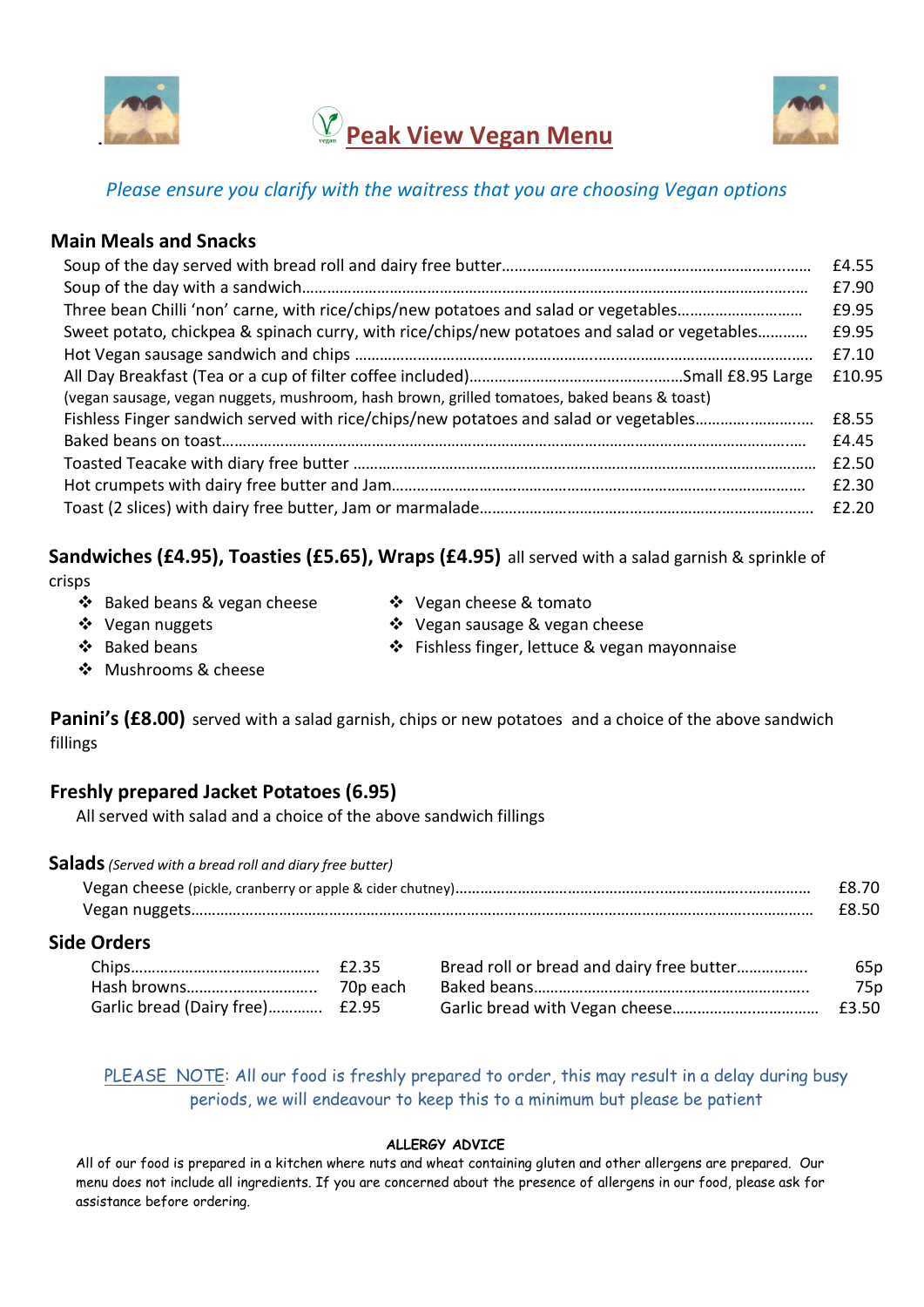



## Please ensure you clarify with the waitress that you are choosing Vegan options

## Main Meals and Snacks

| Sweet potato, chickpea & spinach curry, with rice/chips/new potatoes and salad or vegetables |        |  |  |  |
|----------------------------------------------------------------------------------------------|--------|--|--|--|
|                                                                                              | £7.10  |  |  |  |
|                                                                                              | £10.95 |  |  |  |
| (vegan sausage, vegan nuggets, mushroom, hash brown, grilled tomatoes, baked beans & toast)  |        |  |  |  |
| Fishless Finger sandwich served with rice/chips/new potatoes and salad or vegetables         |        |  |  |  |
|                                                                                              |        |  |  |  |
|                                                                                              | £2.50  |  |  |  |
|                                                                                              | £2.30  |  |  |  |
|                                                                                              | £2.20  |  |  |  |

Sandwiches (£4.95), Toasties (£5.65), Wraps (£4.95) all served with a salad garnish & sprinkle of

crisps

- ❖ Baked beans & vegan cheese  $\dots$  Vegan cheese & tomato
- 

Vegan nuggets

Vegan sausage & vegan cheese

❖ Baked beans

- Fishless finger, lettuce & vegan mayonnaise
- **Mushrooms & cheese**

Panini's (£8.00) served with a salad garnish, chips or new potatoes and a choice of the above sandwich fillings

## Freshly prepared Jacket Potatoes (6.95)

All served with salad and a choice of the above sandwich fillings

| Salads (Served with a bread roll and diary free butter) |       |
|---------------------------------------------------------|-------|
|                                                         | £8.70 |
|                                                         | £8.50 |

### Side Orders

|                                 | Bread roll or bread and dairy free butter | 65p |
|---------------------------------|-------------------------------------------|-----|
|                                 |                                           | 75p |
| Garlic bread (Dairy free) £2.95 |                                           |     |

PLEASE NOTE: All our food is freshly prepared to order, this may result in a delay during busy periods, we will endeavour to keep this to a minimum but please be patient

#### ALLERGY ADVICE

All of our food is prepared in a kitchen where nuts and wheat containing gluten and other allergens are prepared. Our menu does not include all ingredients. If you are concerned about the presence of allergens in our food, please ask for assistance before ordering.